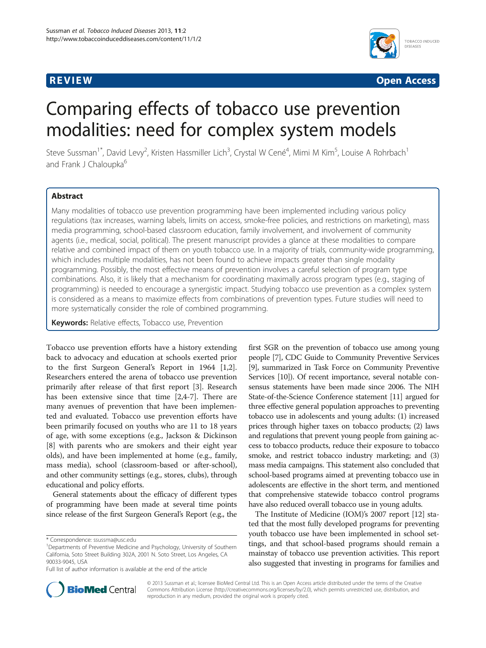

**REVIEW CONSTRUCTION CONSTRUCTION CONSTRUCTION CONSTRUCTS** 

# Comparing effects of tobacco use prevention modalities: need for complex system models

Steve Sussman<sup>1\*</sup>, David Levy<sup>2</sup>, Kristen Hassmiller Lich<sup>3</sup>, Crystal W Cené<sup>4</sup>, Mimi M Kim<sup>5</sup>, Louise A Rohrbach<sup>1</sup> and Frank J Chaloupka<sup>6</sup>

# Abstract

Many modalities of tobacco use prevention programming have been implemented including various policy regulations (tax increases, warning labels, limits on access, smoke-free policies, and restrictions on marketing), mass media programming, school-based classroom education, family involvement, and involvement of community agents (i.e., medical, social, political). The present manuscript provides a glance at these modalities to compare relative and combined impact of them on youth tobacco use. In a majority of trials, community-wide programming, which includes multiple modalities, has not been found to achieve impacts greater than single modality programming. Possibly, the most effective means of prevention involves a careful selection of program type combinations. Also, it is likely that a mechanism for coordinating maximally across program types (e.g., staging of programming) is needed to encourage a synergistic impact. Studying tobacco use prevention as a complex system is considered as a means to maximize effects from combinations of prevention types. Future studies will need to more systematically consider the role of combined programming.

Keywords: Relative effects, Tobacco use, Prevention

Tobacco use prevention efforts have a history extending back to advocacy and education at schools exerted prior to the first Surgeon General's Report in 1964 [\[1,2](#page-11-0)]. Researchers entered the arena of tobacco use prevention primarily after release of that first report [[3](#page-11-0)]. Research has been extensive since that time [\[2,4](#page-11-0)-[7\]](#page-11-0). There are many avenues of prevention that have been implemented and evaluated. Tobacco use prevention efforts have been primarily focused on youths who are 11 to 18 years of age, with some exceptions (e.g., Jackson & Dickinson [[8\]](#page-11-0) with parents who are smokers and their eight year olds), and have been implemented at home (e.g., family, mass media), school (classroom-based or after-school), and other community settings (e.g., stores, clubs), through educational and policy efforts.

General statements about the efficacy of different types of programming have been made at several time points since release of the first Surgeon General's Report (e.g., the

first SGR on the prevention of tobacco use among young people [\[7\]](#page-11-0), CDC Guide to Community Preventive Services [[9](#page-11-0)], summarized in Task Force on Community Preventive Services [\[10\]](#page-11-0)). Of recent importance, several notable consensus statements have been made since 2006. The NIH State-of-the-Science Conference statement [\[11\]](#page-11-0) argued for three effective general population approaches to preventing tobacco use in adolescents and young adults: (1) increased prices through higher taxes on tobacco products; (2) laws and regulations that prevent young people from gaining access to tobacco products, reduce their exposure to tobacco smoke, and restrict tobacco industry marketing; and (3) mass media campaigns. This statement also concluded that school-based programs aimed at preventing tobacco use in adolescents are effective in the short term, and mentioned that comprehensive statewide tobacco control programs have also reduced overall tobacco use in young adults.

The Institute of Medicine (IOM)'s 2007 report [\[12\]](#page-11-0) stated that the most fully developed programs for preventing youth tobacco use have been implemented in school settings, and that school-based programs should remain a mainstay of tobacco use prevention activities. This report also suggested that investing in programs for families and



© 2013 Sussman et al.; licensee BioMed Central Ltd. This is an Open Access article distributed under the terms of the Creative Commons Attribution License [\(http://creativecommons.org/licenses/by/2.0\)](http://creativecommons.org/licenses/by/2.0), which permits unrestricted use, distribution, and reproduction in any medium, provided the original work is properly cited.

<sup>\*</sup> Correspondence: [ssussma@usc.edu](mailto:ssussma@usc.edu) <sup>1</sup>

Departments of Preventive Medicine and Psychology, University of Southern California, Soto Street Building 302A, 2001 N. Soto Street, Los Angeles, CA 90033-9045, USA

Full list of author information is available at the end of the article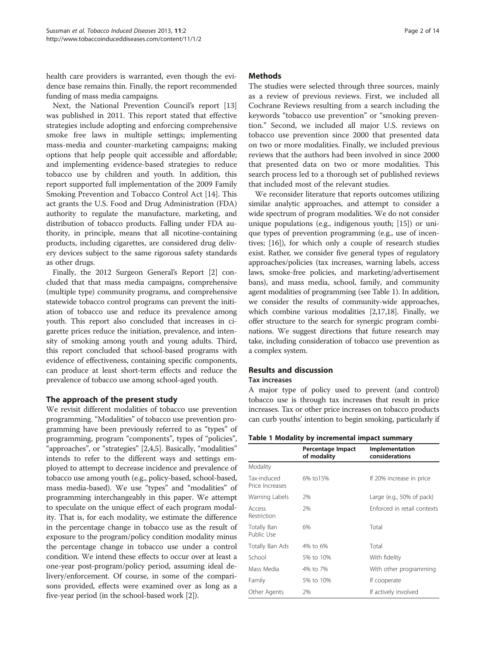health care providers is warranted, even though the evidence base remains thin. Finally, the report recommended funding of mass media campaigns.

Next, the National Prevention Council's report [[13](#page-11-0)] was published in 2011. This report stated that effective strategies include adopting and enforcing comprehensive smoke free laws in multiple settings; implementing mass-media and counter-marketing campaigns; making options that help people quit accessible and affordable; and implementing evidence-based strategies to reduce tobacco use by children and youth. In addition, this report supported full implementation of the 2009 Family Smoking Prevention and Tobacco Control Act [\[14](#page-11-0)]. This act grants the U.S. Food and Drug Administration (FDA) authority to regulate the manufacture, marketing, and distribution of tobacco products. Falling under FDA authority, in principle, means that all nicotine-containing products, including cigarettes, are considered drug delivery devices subject to the same rigorous safety standards as other drugs.

Finally, the 2012 Surgeon General's Report [[2\]](#page-11-0) concluded that that mass media campaigns, comprehensive (multiple type) community programs, and comprehensive statewide tobacco control programs can prevent the initiation of tobacco use and reduce its prevalence among youth. This report also concluded that increases in cigarette prices reduce the initiation, prevalence, and intensity of smoking among youth and young adults. Third, this report concluded that school-based programs with evidence of effectiveness, containing specific components, can produce at least short-term effects and reduce the prevalence of tobacco use among school-aged youth.

# The approach of the present study

We revisit different modalities of tobacco use prevention programming. "Modalities" of tobacco use prevention programming have been previously referred to as "types" of programming, program "components", types of "policies", "approaches", or "strategies" [\[2,4,5\]](#page-11-0). Basically, "modalities" intends to refer to the different ways and settings employed to attempt to decrease incidence and prevalence of tobacco use among youth (e.g., policy-based, school-based, mass media-based). We use "types" and "modalities" of programming interchangeably in this paper. We attempt to speculate on the unique effect of each program modality. That is, for each modality, we estimate the difference in the percentage change in tobacco use as the result of exposure to the program/policy condition modality minus the percentage change in tobacco use under a control condition. We intend these effects to occur over at least a one-year post-program/policy period, assuming ideal delivery/enforcement. Of course, in some of the comparisons provided, effects were examined over as long as a five-year period (in the school-based work [[2\]](#page-11-0)).

#### **Methods**

The studies were selected through three sources, mainly as a review of previous reviews. First, we included all Cochrane Reviews resulting from a search including the keywords "tobacco use prevention" or "smoking prevention." Second, we included all major U.S. reviews on tobacco use prevention since 2000 that presented data on two or more modalities. Finally, we included previous reviews that the authors had been involved in since 2000 that presented data on two or more modalities. This search process led to a thorough set of published reviews that included most of the relevant studies.

We reconsider literature that reports outcomes utilizing similar analytic approaches, and attempt to consider a wide spectrum of program modalities. We do not consider unique populations (e.g., indigenous youth; [\[15](#page-11-0)]) or unique types of prevention programming (e.g., use of incentives; [\[16\]](#page-11-0)), for which only a couple of research studies exist. Rather, we consider five general types of regulatory approaches/policies (tax increases, warning labels, access laws, smoke-free policies, and marketing/advertisement bans), and mass media, school, family, and community agent modalities of programming (see Table 1). In addition, we consider the results of community-wide approaches, which combine various modalities [\[2,17,18\]](#page-11-0). Finally, we offer structure to the search for synergic program combinations. We suggest directions that future research may take, including consideration of tobacco use prevention as a complex system.

#### Results and discussion

#### Tax increases

A major type of policy used to prevent (and control) tobacco use is through tax increases that result in price increases. Tax or other price increases on tobacco products can curb youths' intention to begin smoking, particularly if

#### Table 1 Modality by incremental impact summary

|                                | Percentage Impact<br>of modality | Implementation<br>considerations |
|--------------------------------|----------------------------------|----------------------------------|
| Modality                       |                                  |                                  |
| Tax-induced<br>Price Increases | 6% to 15%                        | If 20% increase in price         |
| Warning Labels                 | 2%                               | Large (e.g., 50% of pack)        |
| Access<br>Restriction          | 2%                               | Enforced in retail contexts      |
| Totally Ban<br>Public Use      | 6%                               | Total                            |
| Totally Ban Ads                | 4% to 6%                         | Total                            |
| School                         | 5% to 10%                        | With fidelity                    |
| Mass Media                     | 4% to 7%                         | With other programming           |
| Family                         | 5% to 10%                        | If cooperate                     |
| Other Agents                   | 2%                               | If actively involved             |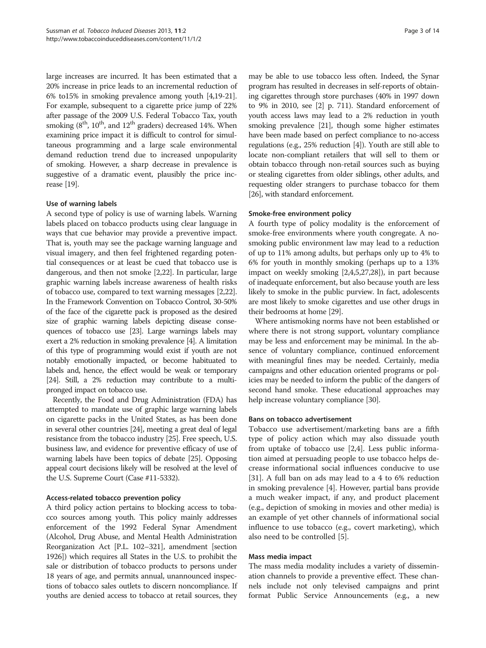large increases are incurred. It has been estimated that a 20% increase in price leads to an incremental reduction of 6% to15% in smoking prevalence among youth [\[4,19](#page-11-0)-[21](#page-11-0)]. For example, subsequent to a cigarette price jump of 22% after passage of the 2009 U.S. Federal Tobacco Tax, youth smoking  $(8^{th}, 10^{th},$  and  $12^{th}$  graders) decreased 14%. When examining price impact it is difficult to control for simultaneous programming and a large scale environmental demand reduction trend due to increased unpopularity of smoking. However, a sharp decrease in prevalence is suggestive of a dramatic event, plausibly the price increase [\[19\]](#page-11-0).

# Use of warning labels

A second type of policy is use of warning labels. Warning labels placed on tobacco products using clear language in ways that cue behavior may provide a preventive impact. That is, youth may see the package warning language and visual imagery, and then feel frightened regarding potential consequences or at least be cued that tobacco use is dangerous, and then not smoke [[2](#page-11-0)[,22](#page-12-0)]. In particular, large graphic warning labels increase awareness of health risks of tobacco use, compared to text warning messages [[2,](#page-11-0)[22](#page-12-0)]. In the Framework Convention on Tobacco Control, 30-50% of the face of the cigarette pack is proposed as the desired size of graphic warning labels depicting disease consequences of tobacco use [[23\]](#page-12-0). Large warnings labels may exert a 2% reduction in smoking prevalence [[4](#page-11-0)]. A limitation of this type of programming would exist if youth are not notably emotionally impacted, or become habituated to labels and, hence, the effect would be weak or temporary [[24\]](#page-12-0). Still, a 2% reduction may contribute to a multipronged impact on tobacco use.

Recently, the Food and Drug Administration (FDA) has attempted to mandate use of graphic large warning labels on cigarette packs in the United States, as has been done in several other countries [\[24\]](#page-12-0), meeting a great deal of legal resistance from the tobacco industry [\[25\]](#page-12-0). Free speech, U.S. business law, and evidence for preventive efficacy of use of warning labels have been topics of debate [[25](#page-12-0)]. Opposing appeal court decisions likely will be resolved at the level of the U.S. Supreme Court (Case #11-5332).

# Access-related tobacco prevention policy

A third policy action pertains to blocking access to tobacco sources among youth. This policy mainly addresses enforcement of the 1992 Federal Synar Amendment (Alcohol, Drug Abuse, and Mental Health Administration Reorganization Act [P.L. 102–321], amendment [section 1926]) which requires all States in the U.S. to prohibit the sale or distribution of tobacco products to persons under 18 years of age, and permits annual, unannounced inspections of tobacco sales outlets to discern noncompliance. If youths are denied access to tobacco at retail sources, they

may be able to use tobacco less often. Indeed, the Synar program has resulted in decreases in self-reports of obtaining cigarettes through store purchases (40% in 1997 down to 9% in 2010, see [[2\]](#page-11-0) p. 711). Standard enforcement of youth access laws may lead to a 2% reduction in youth smoking prevalence [\[21\]](#page-11-0), though some higher estimates have been made based on perfect compliance to no-access regulations (e.g., 25% reduction [[4\]](#page-11-0)). Youth are still able to locate non-compliant retailers that will sell to them or obtain tobacco through non-retail sources such as buying or stealing cigarettes from older siblings, other adults, and requesting older strangers to purchase tobacco for them [[26](#page-12-0)], with standard enforcement.

# Smoke-free environment policy

A fourth type of policy modality is the enforcement of smoke-free environments where youth congregate. A nosmoking public environment law may lead to a reduction of up to 11% among adults, but perhaps only up to 4% to 6% for youth in monthly smoking (perhaps up to a 13% impact on weekly smoking [[2,4](#page-11-0),[5](#page-11-0)[,27,28\]](#page-12-0)), in part because of inadequate enforcement, but also because youth are less likely to smoke in the public purview. In fact, adolescents are most likely to smoke cigarettes and use other drugs in their bedrooms at home [[29](#page-12-0)].

Where antismoking norms have not been established or where there is not strong support, voluntary compliance may be less and enforcement may be minimal. In the absence of voluntary compliance, continued enforcement with meaningful fines may be needed. Certainly, media campaigns and other education oriented programs or policies may be needed to inform the public of the dangers of second hand smoke. These educational approaches may help increase voluntary compliance [[30](#page-12-0)].

# Bans on tobacco advertisement

Tobacco use advertisement/marketing bans are a fifth type of policy action which may also dissuade youth from uptake of tobacco use [[2,4\]](#page-11-0). Less public information aimed at persuading people to use tobacco helps decrease informational social influences conducive to use [[31\]](#page-12-0). A full ban on ads may lead to a 4 to 6% reduction in smoking prevalence [[4\]](#page-11-0). However, partial bans provide a much weaker impact, if any, and product placement (e.g., depiction of smoking in movies and other media) is an example of yet other channels of informational social influence to use tobacco (e.g., covert marketing), which also need to be controlled [\[5](#page-11-0)].

# Mass media impact

The mass media modality includes a variety of dissemination channels to provide a preventive effect. These channels include not only televised campaigns and print format Public Service Announcements (e.g., a new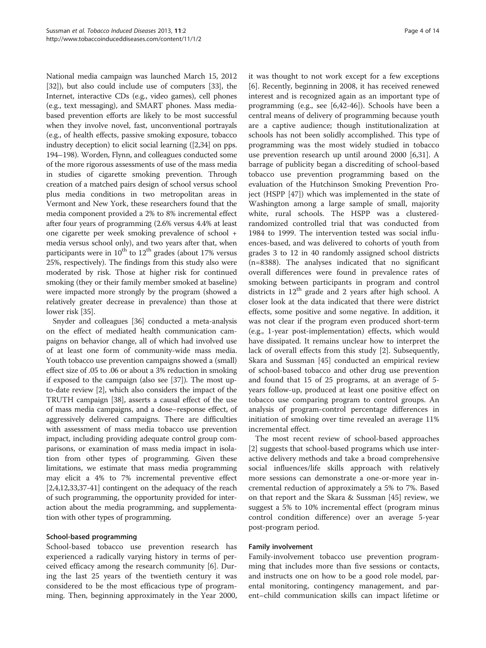National media campaign was launched March 15, 2012 [[32](#page-12-0)]), but also could include use of computers [[33](#page-12-0)], the Internet, interactive CDs (e.g., video games), cell phones (e.g., text messaging), and SMART phones. Mass mediabased prevention efforts are likely to be most successful when they involve novel, fast, unconventional portrayals (e.g., of health effects, passive smoking exposure, tobacco industry deception) to elicit social learning ([\[2](#page-11-0)[,34\]](#page-12-0) on pps. 194–198). Worden, Flynn, and colleagues conducted some of the more rigorous assessments of use of the mass media in studies of cigarette smoking prevention. Through creation of a matched pairs design of school versus school plus media conditions in two metropolitan areas in Vermont and New York, these researchers found that the media component provided a 2% to 8% incremental effect after four years of programming (2.6% versus 4.4% at least one cigarette per week smoking prevalence of school + media versus school only), and two years after that, when participants were in  $10^{th}$  to  $12^{th}$  grades (about 17% versus 25%, respectively). The findings from this study also were moderated by risk. Those at higher risk for continued smoking (they or their family member smoked at baseline) were impacted more strongly by the program (showed a relatively greater decrease in prevalence) than those at lower risk [[35](#page-12-0)].

Snyder and colleagues [\[36\]](#page-12-0) conducted a meta-analysis on the effect of mediated health communication campaigns on behavior change, all of which had involved use of at least one form of community-wide mass media. Youth tobacco use prevention campaigns showed a (small) effect size of .05 to .06 or about a 3% reduction in smoking if exposed to the campaign (also see [\[37](#page-12-0)]). The most upto-date review [[2](#page-11-0)], which also considers the impact of the TRUTH campaign [\[38\]](#page-12-0), asserts a causal effect of the use of mass media campaigns, and a dose–response effect, of aggressively delivered campaigns. There are difficulties with assessment of mass media tobacco use prevention impact, including providing adequate control group comparisons, or examination of mass media impact in isolation from other types of programming. Given these limitations, we estimate that mass media programming may elicit a 4% to 7% incremental preventive effect [[2,4](#page-11-0),[12](#page-11-0)[,33,37-41\]](#page-12-0) contingent on the adequacy of the reach of such programming, the opportunity provided for interaction about the media programming, and supplementation with other types of programming.

#### School-based programming

School-based tobacco use prevention research has experienced a radically varying history in terms of perceived efficacy among the research community [\[6](#page-11-0)]. During the last 25 years of the twentieth century it was considered to be the most efficacious type of programming. Then, beginning approximately in the Year 2000, it was thought to not work except for a few exceptions [[6\]](#page-11-0). Recently, beginning in 2008, it has received renewed interest and is recognized again as an important type of programming (e.g., see [\[6](#page-11-0)[,42](#page-12-0)-[46\]](#page-12-0)). Schools have been a central means of delivery of programming because youth are a captive audience; though institutionalization at schools has not been solidly accomplished. This type of programming was the most widely studied in tobacco use prevention research up until around 2000 [\[6](#page-11-0),[31](#page-12-0)]. A barrage of publicity began a discrediting of school-based tobacco use prevention programming based on the evaluation of the Hutchinson Smoking Prevention Project (HSPP [\[47](#page-12-0)]) which was implemented in the state of Washington among a large sample of small, majority white, rural schools. The HSPP was a clusteredrandomized controlled trial that was conducted from 1984 to 1999. The intervention tested was social influences-based, and was delivered to cohorts of youth from grades 3 to 12 in 40 randomly assigned school districts (n=8388). The analyses indicated that no significant overall differences were found in prevalence rates of smoking between participants in program and control districts in  $12<sup>th</sup>$  grade and 2 years after high school. A closer look at the data indicated that there were district effects, some positive and some negative. In addition, it was not clear if the program even produced short-term (e.g., 1-year post-implementation) effects, which would have dissipated. It remains unclear how to interpret the lack of overall effects from this study [\[2](#page-11-0)]. Subsequently, Skara and Sussman [[45\]](#page-12-0) conducted an empirical review of school-based tobacco and other drug use prevention and found that 15 of 25 programs, at an average of 5 years follow-up, produced at least one positive effect on tobacco use comparing program to control groups. An analysis of program-control percentage differences in initiation of smoking over time revealed an average 11% incremental effect.

The most recent review of school-based approaches [[2\]](#page-11-0) suggests that school-based programs which use interactive delivery methods and take a broad comprehensive social influences/life skills approach with relatively more sessions can demonstrate a one-or-more year incremental reduction of approximately a 5% to 7%. Based on that report and the Skara & Sussman [\[45\]](#page-12-0) review, we suggest a 5% to 10% incremental effect (program minus control condition difference) over an average 5-year post-program period.

#### Family involvement

Family-involvement tobacco use prevention programming that includes more than five sessions or contacts, and instructs one on how to be a good role model, parental monitoring, contingency management, and parent–child communication skills can impact lifetime or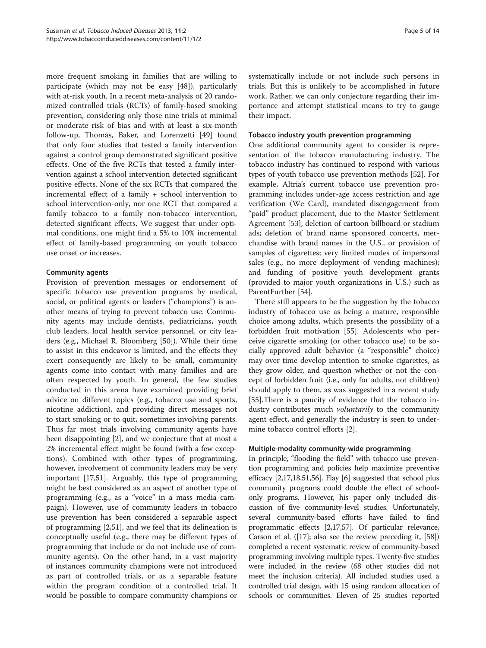more frequent smoking in families that are willing to participate (which may not be easy [\[48](#page-12-0)]), particularly with at-risk youth. In a recent meta-analysis of 20 randomized controlled trials (RCTs) of family-based smoking prevention, considering only those nine trials at minimal or moderate risk of bias and with at least a six-month follow-up, Thomas, Baker, and Lorenzetti [[49](#page-12-0)] found that only four studies that tested a family intervention against a control group demonstrated significant positive effects. One of the five RCTs that tested a family intervention against a school intervention detected significant positive effects. None of the six RCTs that compared the incremental effect of a family + school intervention to school intervention-only, nor one RCT that compared a family tobacco to a family non-tobacco intervention, detected significant effects. We suggest that under optimal conditions, one might find a 5% to 10% incremental effect of family-based programming on youth tobacco use onset or increases.

# Community agents

Provision of prevention messages or endorsement of specific tobacco use prevention programs by medical, social, or political agents or leaders ("champions") is another means of trying to prevent tobacco use. Community agents may include dentists, pediatricians, youth club leaders, local health service personnel, or city leaders (e.g., Michael R. Bloomberg [\[50](#page-12-0)]). While their time to assist in this endeavor is limited, and the effects they exert consequently are likely to be small, community agents come into contact with many families and are often respected by youth. In general, the few studies conducted in this arena have examined providing brief advice on different topics (e.g., tobacco use and sports, nicotine addiction), and providing direct messages not to start smoking or to quit, sometimes involving parents. Thus far most trials involving community agents have been disappointing [[2\]](#page-11-0), and we conjecture that at most a 2% incremental effect might be found (with a few exceptions). Combined with other types of programming, however, involvement of community leaders may be very important [\[17](#page-11-0)[,51](#page-12-0)]. Arguably, this type of programming might be best considered as an aspect of another type of programming (e.g., as a "voice" in a mass media campaign). However, use of community leaders in tobacco use prevention has been considered a separable aspect of programming [[2,](#page-11-0)[51\]](#page-12-0), and we feel that its delineation is conceptually useful (e.g., there may be different types of programming that include or do not include use of community agents). On the other hand, in a vast majority of instances community champions were not introduced as part of controlled trials, or as a separable feature within the program condition of a controlled trial. It would be possible to compare community champions or

systematically include or not include such persons in trials. But this is unlikely to be accomplished in future work. Rather, we can only conjecture regarding their importance and attempt statistical means to try to gauge their impact.

# Tobacco industry youth prevention programming

One additional community agent to consider is representation of the tobacco manufacturing industry. The tobacco industry has continued to respond with various types of youth tobacco use prevention methods [\[52](#page-12-0)]. For example, Altria's current tobacco use prevention programming includes under-age access restriction and age verification (We Card), mandated disengagement from "paid" product placement, due to the Master Settlement Agreement [\[53\]](#page-12-0); deletion of cartoon billboard or stadium ads; deletion of brand name sponsored concerts, merchandise with brand names in the U.S., or provision of samples of cigarettes; very limited modes of impersonal sales (e.g., no more deployment of vending machines); and funding of positive youth development grants (provided to major youth organizations in U.S.) such as ParentFurther [\[54\]](#page-12-0).

There still appears to be the suggestion by the tobacco industry of tobacco use as being a mature, responsible choice among adults, which presents the possibility of a forbidden fruit motivation [[55\]](#page-12-0). Adolescents who perceive cigarette smoking (or other tobacco use) to be socially approved adult behavior (a "responsible" choice) may over time develop intention to smoke cigarettes, as they grow older, and question whether or not the concept of forbidden fruit (i.e., only for adults, not children) should apply to them, as was suggested in a recent study [[55\]](#page-12-0).There is a paucity of evidence that the tobacco industry contributes much *voluntarily* to the community agent effect, and generally the industry is seen to undermine tobacco control efforts [\[2](#page-11-0)].

# Multiple-modality community-wide programming

In principle, "flooding the field" with tobacco use prevention programming and policies help maximize preventive efficacy [\[2,17,18](#page-11-0)[,51,56](#page-12-0)]. Flay [[6\]](#page-11-0) suggested that school plus community programs could double the effect of schoolonly programs. However, his paper only included discussion of five community-level studies. Unfortunately, several community-based efforts have failed to find programmatic effects [[2,17](#page-11-0)[,57](#page-12-0)]. Of particular relevance, Carson et al. ([\[17](#page-11-0)]; also see the review preceding it, [[58](#page-12-0)]) completed a recent systematic review of community-based programming involving multiple types. Twenty-five studies were included in the review (68 other studies did not meet the inclusion criteria). All included studies used a controlled trial design, with 15 using random allocation of schools or communities. Eleven of 25 studies reported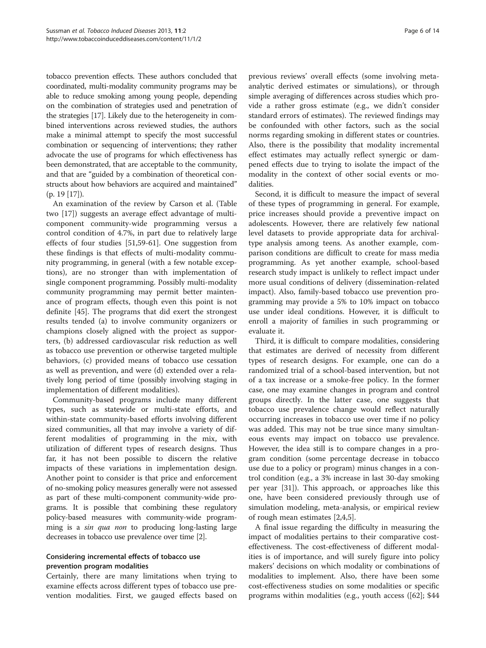tobacco prevention effects. These authors concluded that coordinated, multi-modality community programs may be able to reduce smoking among young people, depending on the combination of strategies used and penetration of the strategies [[17](#page-11-0)]. Likely due to the heterogeneity in combined interventions across reviewed studies, the authors make a minimal attempt to specify the most successful combination or sequencing of interventions; they rather advocate the use of programs for which effectiveness has been demonstrated, that are acceptable to the community, and that are "guided by a combination of theoretical constructs about how behaviors are acquired and maintained" (p. 19 [\[17\]](#page-11-0)).

An examination of the review by Carson et al. (Table two [[17](#page-11-0)]) suggests an average effect advantage of multicomponent community-wide programming versus a control condition of 4.7%, in part due to relatively large effects of four studies [[51](#page-12-0),[59](#page-12-0)-[61\]](#page-12-0). One suggestion from these findings is that effects of multi-modality community programming, in general (with a few notable exceptions), are no stronger than with implementation of single component programming. Possibly multi-modality community programming may permit better maintenance of program effects, though even this point is not definite [\[45](#page-12-0)]. The programs that did exert the strongest results tended (a) to involve community organizers or champions closely aligned with the project as supporters, (b) addressed cardiovascular risk reduction as well as tobacco use prevention or otherwise targeted multiple behaviors, (c) provided means of tobacco use cessation as well as prevention, and were (d) extended over a relatively long period of time (possibly involving staging in implementation of different modalities).

Community-based programs include many different types, such as statewide or multi-state efforts, and within-state community-based efforts involving different sized communities, all that may involve a variety of different modalities of programming in the mix, with utilization of different types of research designs. Thus far, it has not been possible to discern the relative impacts of these variations in implementation design. Another point to consider is that price and enforcement of no-smoking policy measures generally were not assessed as part of these multi-component community-wide programs. It is possible that combining these regulatory policy-based measures with community-wide programming is a sin qua non to producing long-lasting large decreases in tobacco use prevalence over time [[2](#page-11-0)].

# Considering incremental effects of tobacco use prevention program modalities

Certainly, there are many limitations when trying to examine effects across different types of tobacco use prevention modalities. First, we gauged effects based on

previous reviews' overall effects (some involving metaanalytic derived estimates or simulations), or through simple averaging of differences across studies which provide a rather gross estimate (e.g., we didn't consider standard errors of estimates). The reviewed findings may be confounded with other factors, such as the social norms regarding smoking in different states or countries. Also, there is the possibility that modality incremental effect estimates may actually reflect synergic or dampened effects due to trying to isolate the impact of the modality in the context of other social events or modalities.

Second, it is difficult to measure the impact of several of these types of programming in general. For example, price increases should provide a preventive impact on adolescents. However, there are relatively few national level datasets to provide appropriate data for archivaltype analysis among teens. As another example, comparison conditions are difficult to create for mass media programming. As yet another example, school-based research study impact is unlikely to reflect impact under more usual conditions of delivery (dissemination-related impact). Also, family-based tobacco use prevention programming may provide a 5% to 10% impact on tobacco use under ideal conditions. However, it is difficult to enroll a majority of families in such programming or evaluate it.

Third, it is difficult to compare modalities, considering that estimates are derived of necessity from different types of research designs. For example, one can do a randomized trial of a school-based intervention, but not of a tax increase or a smoke-free policy. In the former case, one may examine changes in program and control groups directly. In the latter case, one suggests that tobacco use prevalence change would reflect naturally occurring increases in tobacco use over time if no policy was added. This may not be true since many simultaneous events may impact on tobacco use prevalence. However, the idea still is to compare changes in a program condition (some percentage decrease in tobacco use due to a policy or program) minus changes in a control condition (e.g., a 3% increase in last 30-day smoking per year [\[31\]](#page-12-0)). This approach, or approaches like this one, have been considered previously through use of simulation modeling, meta-analysis, or empirical review of rough mean estimates [[2,4,5](#page-11-0)].

A final issue regarding the difficulty in measuring the impact of modalities pertains to their comparative costeffectiveness. The cost-effectiveness of different modalities is of importance, and will surely figure into policy makers' decisions on which modality or combinations of modalities to implement. Also, there have been some cost-effectiveness studies on some modalities or specific programs within modalities (e.g., youth access ([\[62](#page-12-0)]; \$44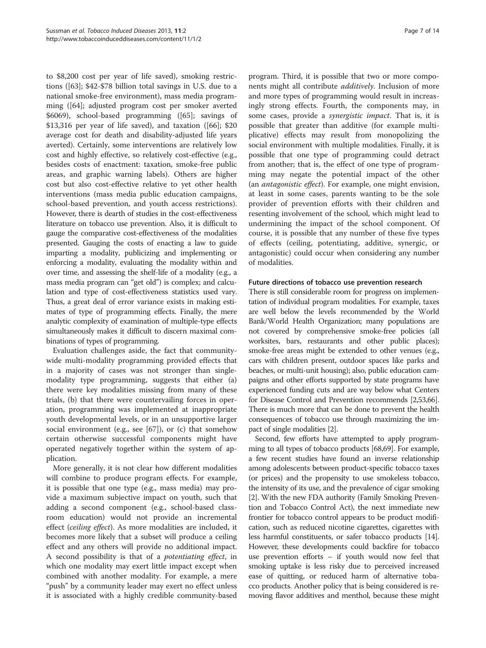to \$8,200 cost per year of life saved), smoking restrictions ([\[63](#page-12-0)]; \$42-\$78 billion total savings in U.S. due to a national smoke-free environment), mass media programming ([[64](#page-12-0)]; adjusted program cost per smoker averted \$6069), school-based programming ([[65\]](#page-12-0); savings of  $$13,316$  per year of life saved), and taxation ([\[66](#page-12-0)]; \$20 average cost for death and disability-adjusted life years averted). Certainly, some interventions are relatively low cost and highly effective, so relatively cost-effective (e.g., besides costs of enactment: taxation, smoke-free public areas, and graphic warning labels). Others are higher cost but also cost-effective relative to yet other health interventions (mass media public education campaigns, school-based prevention, and youth access restrictions). However, there is dearth of studies in the cost-effectiveness literature on tobacco use prevention. Also, it is difficult to gauge the comparative cost-effectiveness of the modalities presented. Gauging the costs of enacting a law to guide imparting a modality, publicizing and implementing or enforcing a modality, evaluating the modality within and over time, and assessing the shelf-life of a modality (e.g., a mass media program can "get old") is complex; and calculation and type of cost-effectiveness statistics used vary. Thus, a great deal of error variance exists in making estimates of type of programming effects. Finally, the mere analytic complexity of examination of multiple-type effects simultaneously makes it difficult to discern maximal combinations of types of programming.

Evaluation challenges aside, the fact that communitywide multi-modality programming provided effects that in a majority of cases was not stronger than singlemodality type programming, suggests that either (a) there were key modalities missing from many of these trials, (b) that there were countervailing forces in operation, programming was implemented at inappropriate youth developmental levels, or in an unsupportive larger social environment (e.g., see [\[67\]](#page-12-0)), or (c) that somehow certain otherwise successful components might have operated negatively together within the system of application.

More generally, it is not clear how different modalities will combine to produce program effects. For example, it is possible that one type (e.g., mass media) may provide a maximum subjective impact on youth, such that adding a second component (e.g., school-based classroom education) would not provide an incremental effect (ceiling effect). As more modalities are included, it becomes more likely that a subset will produce a ceiling effect and any others will provide no additional impact. A second possibility is that of a potentiating effect, in which one modality may exert little impact except when combined with another modality. For example, a mere "push" by a community leader may exert no effect unless it is associated with a highly credible community-based program. Third, it is possible that two or more components might all contribute additively. Inclusion of more and more types of programming would result in increasingly strong effects. Fourth, the components may, in some cases, provide a *synergistic impact*. That is, it is possible that greater than additive (for example multiplicative) effects may result from monopolizing the social environment with multiple modalities. Finally, it is possible that one type of programming could detract from another; that is, the effect of one type of programming may negate the potential impact of the other (an antagonistic effect). For example, one might envision, at least in some cases, parents wanting to be the sole provider of prevention efforts with their children and resenting involvement of the school, which might lead to undermining the impact of the school component. Of course, it is possible that any number of these five types of effects (ceiling, potentiating, additive, synergic, or antagonistic) could occur when considering any number of modalities.

#### Future directions of tobacco use prevention research

There is still considerable room for progress on implementation of individual program modalities. For example, taxes are well below the levels recommended by the World Bank/World Health Organization; many populations are not covered by comprehensive smoke-free policies (all worksites, bars, restaurants and other public places); smoke-free areas might be extended to other venues (e.g., cars with children present, outdoor spaces like parks and beaches, or multi-unit housing); also, public education campaigns and other efforts supported by state programs have experienced funding cuts and are way below what Centers for Disease Control and Prevention recommends [\[2,](#page-11-0)[53,66](#page-12-0)]. There is much more that can be done to prevent the health consequences of tobacco use through maximizing the impact of single modalities [[2](#page-11-0)].

Second, few efforts have attempted to apply programming to all types of tobacco products [\[68,69](#page-13-0)]. For example, a few recent studies have found an inverse relationship among adolescents between product-specific tobacco taxes (or prices) and the propensity to use smokeless tobacco, the intensity of its use, and the prevalence of cigar smoking [[2](#page-11-0)]. With the new FDA authority (Family Smoking Prevention and Tobacco Control Act), the next immediate new frontier for tobacco control appears to be product modification, such as reduced nicotine cigarettes, cigarettes with less harmful constituents, or safer tobacco products [[14](#page-11-0)]. However, these developments could backfire for tobacco use prevention efforts – if youth would now feel that smoking uptake is less risky due to perceived increased ease of quitting, or reduced harm of alternative tobacco products. Another policy that is being considered is removing flavor additives and menthol, because these might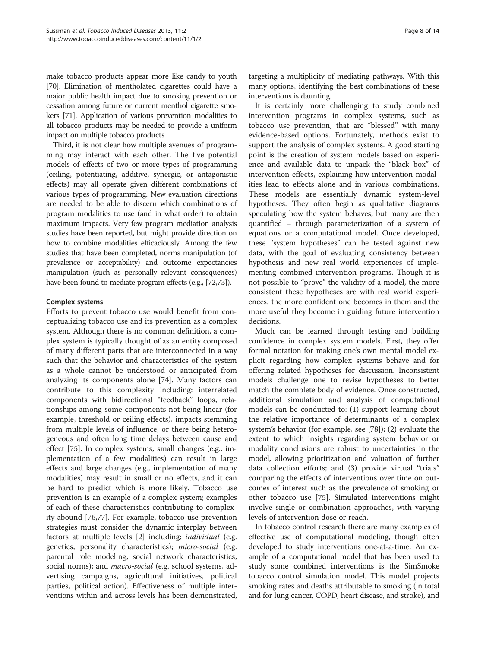make tobacco products appear more like candy to youth [[70](#page-13-0)]. Elimination of mentholated cigarettes could have a major public health impact due to smoking prevention or cessation among future or current menthol cigarette smokers [\[71](#page-13-0)]. Application of various prevention modalities to all tobacco products may be needed to provide a uniform impact on multiple tobacco products.

Third, it is not clear how multiple avenues of programming may interact with each other. The five potential models of effects of two or more types of programming (ceiling, potentiating, additive, synergic, or antagonistic effects) may all operate given different combinations of various types of programming. New evaluation directions are needed to be able to discern which combinations of program modalities to use (and in what order) to obtain maximum impacts. Very few program mediation analysis studies have been reported, but might provide direction on how to combine modalities efficaciously. Among the few studies that have been completed, norms manipulation (of prevalence or acceptability) and outcome expectancies manipulation (such as personally relevant consequences) have been found to mediate program effects (e.g., [\[72,73\]](#page-13-0)).

#### Complex systems

Efforts to prevent tobacco use would benefit from conceptualizing tobacco use and its prevention as a complex system. Although there is no common definition, a complex system is typically thought of as an entity composed of many different parts that are interconnected in a way such that the behavior and characteristics of the system as a whole cannot be understood or anticipated from analyzing its components alone [\[74](#page-13-0)]. Many factors can contribute to this complexity including: interrelated components with bidirectional "feedback" loops, relationships among some components not being linear (for example, threshold or ceiling effects), impacts stemming from multiple levels of influence, or there being heterogeneous and often long time delays between cause and effect [[75\]](#page-13-0). In complex systems, small changes (e.g., implementation of a few modalities) can result in large effects and large changes (e.g., implementation of many modalities) may result in small or no effects, and it can be hard to predict which is more likely. Tobacco use prevention is an example of a complex system; examples of each of these characteristics contributing to complexity abound [\[76,77](#page-13-0)]. For example, tobacco use prevention strategies must consider the dynamic interplay between factors at multiple levels [[2\]](#page-11-0) including: *individual* (e.g. genetics, personality characteristics); micro-social (e.g. parental role modeling, social network characteristics, social norms); and *macro-social* (e.g. school systems, advertising campaigns, agricultural initiatives, political parties, political action). Effectiveness of multiple interventions within and across levels has been demonstrated,

targeting a multiplicity of mediating pathways. With this many options, identifying the best combinations of these interventions is daunting.

It is certainly more challenging to study combined intervention programs in complex systems, such as tobacco use prevention, that are "blessed" with many evidence-based options. Fortunately, methods exist to support the analysis of complex systems. A good starting point is the creation of system models based on experience and available data to unpack the "black box" of intervention effects, explaining how intervention modalities lead to effects alone and in various combinations. These models are essentially dynamic system-level hypotheses. They often begin as qualitative diagrams speculating how the system behaves, but many are then quantified – through parameterization of a system of equations or a computational model. Once developed, these "system hypotheses" can be tested against new data, with the goal of evaluating consistency between hypothesis and new real world experiences of implementing combined intervention programs. Though it is not possible to "prove" the validity of a model, the more consistent these hypotheses are with real world experiences, the more confident one becomes in them and the more useful they become in guiding future intervention decisions.

Much can be learned through testing and building confidence in complex system models. First, they offer formal notation for making one's own mental model explicit regarding how complex systems behave and for offering related hypotheses for discussion. Inconsistent models challenge one to revise hypotheses to better match the complete body of evidence. Once constructed, additional simulation and analysis of computational models can be conducted to: (1) support learning about the relative importance of determinants of a complex system's behavior (for example, see [[78\]](#page-13-0)); (2) evaluate the extent to which insights regarding system behavior or modality conclusions are robust to uncertainties in the model, allowing prioritization and valuation of further data collection efforts; and (3) provide virtual "trials" comparing the effects of interventions over time on outcomes of interest such as the prevalence of smoking or other tobacco use [[75\]](#page-13-0). Simulated interventions might involve single or combination approaches, with varying levels of intervention dose or reach.

In tobacco control research there are many examples of effective use of computational modeling, though often developed to study interventions one-at-a-time. An example of a computational model that has been used to study some combined interventions is the SimSmoke tobacco control simulation model. This model projects smoking rates and deaths attributable to smoking (in total and for lung cancer, COPD, heart disease, and stroke), and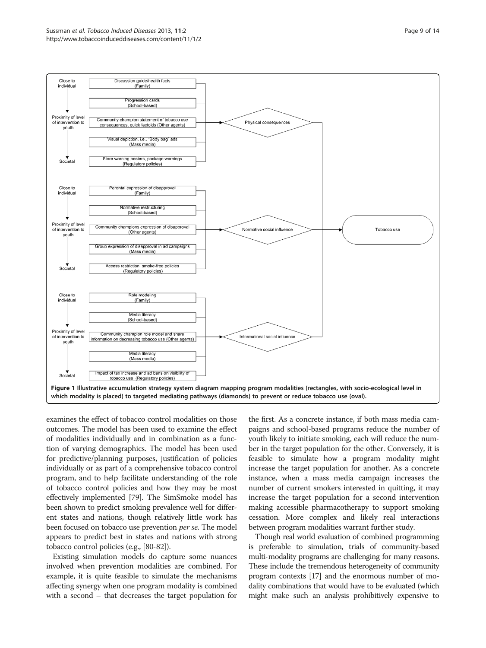<span id="page-8-0"></span>

examines the effect of tobacco control modalities on those outcomes. The model has been used to examine the effect of modalities individually and in combination as a function of varying demographics. The model has been used for predictive/planning purposes, justification of policies individually or as part of a comprehensive tobacco control program, and to help facilitate understanding of the role of tobacco control policies and how they may be most effectively implemented [\[79\]](#page-13-0). The SimSmoke model has been shown to predict smoking prevalence well for different states and nations, though relatively little work has been focused on tobacco use prevention per se. The model appears to predict best in states and nations with strong tobacco control policies (e.g., [\[80-82](#page-13-0)]).

Existing simulation models do capture some nuances involved when prevention modalities are combined. For example, it is quite feasible to simulate the mechanisms affecting synergy when one program modality is combined with a second – that decreases the target population for

the first. As a concrete instance, if both mass media campaigns and school-based programs reduce the number of youth likely to initiate smoking, each will reduce the number in the target population for the other. Conversely, it is feasible to simulate how a program modality might increase the target population for another. As a concrete instance, when a mass media campaign increases the number of current smokers interested in quitting, it may increase the target population for a second intervention making accessible pharmacotherapy to support smoking cessation. More complex and likely real interactions between program modalities warrant further study.

Though real world evaluation of combined programming is preferable to simulation, trials of community-based multi-modality programs are challenging for many reasons. These include the tremendous heterogeneity of community program contexts [[17](#page-11-0)] and the enormous number of modality combinations that would have to be evaluated (which might make such an analysis prohibitively expensive to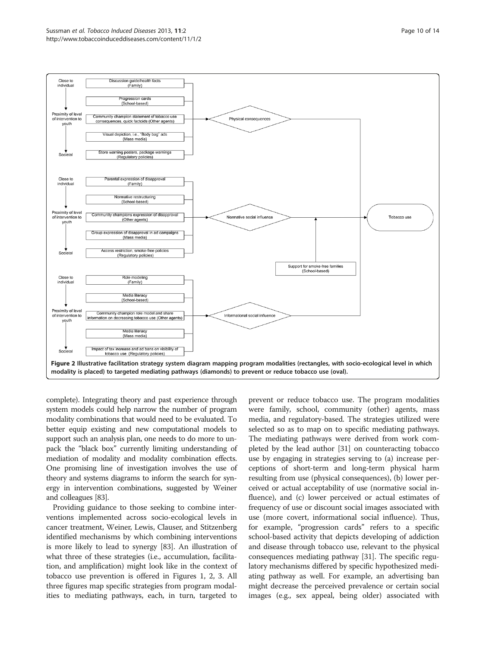<span id="page-9-0"></span>

complete). Integrating theory and past experience through system models could help narrow the number of program modality combinations that would need to be evaluated. To better equip existing and new computational models to support such an analysis plan, one needs to do more to unpack the "black box" currently limiting understanding of mediation of modality and modality combination effects. One promising line of investigation involves the use of theory and systems diagrams to inform the search for synergy in intervention combinations, suggested by Weiner and colleagues [\[83\]](#page-13-0).

Providing guidance to those seeking to combine interventions implemented across socio-ecological levels in cancer treatment, Weiner, Lewis, Clauser, and Stitzenberg identified mechanisms by which combining interventions is more likely to lead to synergy [[83](#page-13-0)]. An illustration of what three of these strategies (i.e., accumulation, facilitation, and amplification) might look like in the context of tobacco use prevention is offered in Figures [1,](#page-8-0) 2, [3](#page-10-0). All three figures map specific strategies from program modalities to mediating pathways, each, in turn, targeted to

prevent or reduce tobacco use. The program modalities were family, school, community (other) agents, mass media, and regulatory-based. The strategies utilized were selected so as to map on to specific mediating pathways. The mediating pathways were derived from work completed by the lead author [\[31\]](#page-12-0) on counteracting tobacco use by engaging in strategies serving to (a) increase perceptions of short-term and long-term physical harm resulting from use (physical consequences), (b) lower perceived or actual acceptability of use (normative social influence), and (c) lower perceived or actual estimates of frequency of use or discount social images associated with use (more covert, informational social influence). Thus, for example, "progression cards" refers to a specific school-based activity that depicts developing of addiction and disease through tobacco use, relevant to the physical consequences mediating pathway [\[31\]](#page-12-0). The specific regulatory mechanisms differed by specific hypothesized mediating pathway as well. For example, an advertising ban might decrease the perceived prevalence or certain social images (e.g., sex appeal, being older) associated with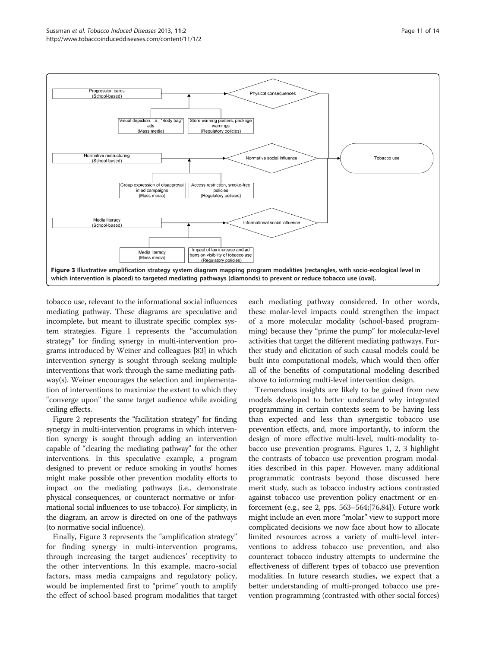<span id="page-10-0"></span>

tobacco use, relevant to the informational social influences mediating pathway. These diagrams are speculative and incomplete, but meant to illustrate specific complex system strategies. Figure [1](#page-8-0) represents the "accumulation strategy" for finding synergy in multi-intervention programs introduced by Weiner and colleagues [\[83\]](#page-13-0) in which intervention synergy is sought through seeking multiple interventions that work through the same mediating pathway(s). Weiner encourages the selection and implementation of interventions to maximize the extent to which they "converge upon" the same target audience while avoiding ceiling effects.

Figure [2](#page-9-0) represents the "facilitation strategy" for finding synergy in multi-intervention programs in which intervention synergy is sought through adding an intervention capable of "clearing the mediating pathway" for the other interventions. In this speculative example, a program designed to prevent or reduce smoking in youths' homes might make possible other prevention modality efforts to impact on the mediating pathways (i.e., demonstrate physical consequences, or counteract normative or informational social influences to use tobacco). For simplicity, in the diagram, an arrow is directed on one of the pathways (to normative social influence).

Finally, Figure 3 represents the "amplification strategy" for finding synergy in multi-intervention programs, through increasing the target audiences' receptivity to the other interventions. In this example, macro-social factors, mass media campaigns and regulatory policy, would be implemented first to "prime" youth to amplify the effect of school-based program modalities that target each mediating pathway considered. In other words, these molar-level impacts could strengthen the impact of a more molecular modality (school-based programming) because they "prime the pump" for molecular-level activities that target the different mediating pathways. Further study and elicitation of such causal models could be built into computational models, which would then offer all of the benefits of computational modeling described above to informing multi-level intervention design.

Tremendous insights are likely to be gained from new models developed to better understand why integrated programming in certain contexts seem to be having less than expected and less than synergistic tobacco use prevention effects, and, more importantly, to inform the design of more effective multi-level, multi-modality tobacco use prevention programs. Figures [1,](#page-8-0) [2](#page-9-0), 3 highlight the contrasts of tobacco use prevention program modalities described in this paper. However, many additional programmatic contrasts beyond those discussed here merit study, such as tobacco industry actions contrasted against tobacco use prevention policy enactment or enforcement (e.g., see 2, pps. 563–564;[[76,84\]](#page-13-0)). Future work might include an even more "molar" view to support more complicated decisions we now face about how to allocate limited resources across a variety of multi-level interventions to address tobacco use prevention, and also counteract tobacco industry attempts to undermine the effectiveness of different types of tobacco use prevention modalities. In future research studies, we expect that a better understanding of multi-pronged tobacco use prevention programming (contrasted with other social forces)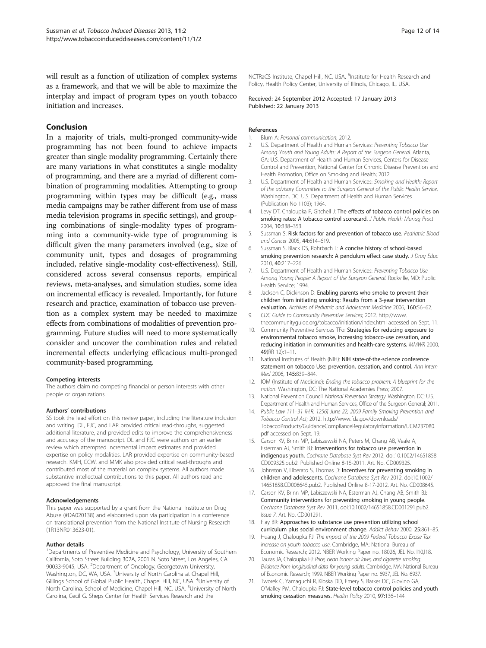<span id="page-11-0"></span>will result as a function of utilization of complex systems as a framework, and that we will be able to maximize the interplay and impact of program types on youth tobacco initiation and increases.

# Conclusion

In a majority of trials, multi-pronged community-wide programming has not been found to achieve impacts greater than single modality programming. Certainly there are many variations in what constitutes a single modality of programming, and there are a myriad of different combination of programming modalities. Attempting to group programming within types may be difficult (e.g., mass media campaigns may be rather different from use of mass media television programs in specific settings), and grouping combinations of single-modality types of programming into a community-wide type of programming is difficult given the many parameters involved (e.g., size of community unit, types and dosages of programming included, relative single-modality cost-effectiveness). Still, considered across several consensus reports, empirical reviews, meta-analyses, and simulation studies, some idea on incremental efficacy is revealed. Importantly, for future research and practice, examination of tobacco use prevention as a complex system may be needed to maximize effects from combinations of modalities of prevention programming. Future studies will need to more systematically consider and uncover the combination rules and related incremental effects underlying efficacious multi-pronged community-based programming.

#### Competing interests

The authors claim no competing financial or person interests with other people or organizations.

#### Authors' contributions

SS took the lead effort on this review paper, including the literature inclusion and writing. DL, FJC, and LAR provided critical read-throughs, suggested additional literature, and provided edits to improve the comprehensiveness and accuracy of the manuscript. DL and FJC were authors on an earlier review which attempted incremental impact estimates and provided expertise on policy modalities. LAR provided expertise on community-based research. KMH, CCW, and MMK also provided critical read-throughs and contributed most of the material on complex systems. All authors made substantive intellectual contributions to this paper. All authors read and approved the final manuscript.

#### Acknowledgements

This paper was supported by a grant from the National Institute on Drug Abuse (#DA020138) and elaborated upon via participation in a conference on translational prevention from the National Institute of Nursing Research (1R13NR013623-01).

#### Author details

<sup>1</sup>Departments of Preventive Medicine and Psychology, University of Southern California, Soto Street Building 302A, 2001 N. Soto Street, Los Angeles, CA 90033-9045, USA. <sup>2</sup>Department of Oncology, Georgetown University, Washington, DC, WA, USA. <sup>3</sup>University of North Carolina at Chapel Hill, Gillings School of Global Public Health, Chapel Hill, NC, USA. <sup>4</sup>University of North Carolina, School of Medicine, Chapel Hill, NC, USA. <sup>5</sup>University of North Carolina, Cecil G. Sheps Center for Health Services Research and the

NCTRaCS Institute, Chapel Hill, NC, USA. <sup>6</sup>Institute for Health Research and Policy, Health Policy Center, University of Illinois, Chicago, IL, USA.

Received: 24 September 2012 Accepted: 17 January 2013 Published: 22 January 2013

#### References

- Blum A: Personal communication; 2012.
- 2. U.S. Department of Health and Human Services: Preventing Tobacco Use Among Youth and Young Adults: A Report of the Surgeon General. Atlanta, GA: U.S. Department of Health and Human Services, Centers for Disease Control and Prevention, National Center for Chronic Disease Prevention and Health Promotion, Office on Smoking and Health; 2012.
- 3. U.S. Department of Health and Human Services: Smoking and Health: Report of the advisory Committee to the Surgeon General of the Public Health Service. Washington, DC: U.S. Department of Health and Human Services (Publication No 1103); 1964.
- 4. Levy DT, Chaloupka F, Gitchell J: The effects of tobacco control policies on smoking rates: A tobacco control scorecard. J Public Health Manag Pract 2004, 10:338–353.
- 5. Sussman S: Risk factors for and prevention of tobacco use. Pedriatric Blood and Cancer 2005, 44:614–619.
- 6. Sussman S, Black DS, Rohrbach L: A concise history of school-based smoking prevention research: A pendulum effect case study. J Drug Educ 2010, 40:217–226.
- 7. U.S. Department of Health and Human Services: Preventing Tobacco Use Among Young People: A Report of the Surgeon General. Rockville, MD: Public Health Service; 1994.
- 8. Jackson C, Dickinson D: Enabling parents who smoke to prevent their children from initiating smoking: Results from a 3-year intervention evaluation. Archives of Pediatric and Adolescent Medicine 2006, 160:56–62.
- 9. CDC Guide to Community Preventive Services; 2012. [http://www.](http://www.thecommunityguide.org/tobacco/initiation/index.html) [thecommunityguide.org/tobacco/initiation/index.html](http://www.thecommunityguide.org/tobacco/initiation/index.html) accessed on Sept. 11.
- 10. Community Preventive Services TFo: Strategies for reducing exposure to environmental tobacco smoke, increasing tobacco-use cessation, and reducing initiation in communities and health-care systems. MMWR 2000, 49(RR 12):1–11.
- 11. National Institutes of Health (NIH): NIH state-of-the-science conference statement on tobacco Use: prevention, cessation, and control. Ann Intern Med 2006, 145:839–844.
- 12. IOM (Institute of Medicine): Ending the tobacco problem: A blueprint for the nation. Washington, DC: The National Academies Press; 2007.
- 13. National Prevention Council: National Prevention Strategy. Washington, DC: U.S. Department of Health and Human Services, Office of the Surgeon General; 2011.
- 14. Public Law 111–31 [H.R. 1256] June 22, 2009 Family Smoking Prevention and Tobacco Control Act; 2012. [http://www.fda.gov/downloads/](http://www.fda.gov/downloads/TobaccoProducts/GuidanceComplianceRegulatoryInformation/UCM237080.pdf) [TobaccoProducts/GuidanceComplianceRegulatoryInformation/UCM237080.](http://www.fda.gov/downloads/TobaccoProducts/GuidanceComplianceRegulatoryInformation/UCM237080.pdf) [pdf](http://www.fda.gov/downloads/TobaccoProducts/GuidanceComplianceRegulatoryInformation/UCM237080.pdf) accessed on Sept. 19.
- 15. Carson KV, Brinn MP, Labiszewski NA, Peters M, Chang AB, Veale A, Esterman AJ, Smith BJ: Interventions for tobacco use prevention in indigenous youth. Cochrane Database Syst Rev 2012, doi:[10.1002/14651858.](http://dx.doi.org/10.1002/14651858.CD009325.pub2) [CD009325.pub2.](http://dx.doi.org/10.1002/14651858.CD009325.pub2) Published Online 8-15-2011. Art. No. CD009325.
- 16. Johnston V, Liberato S, Thomas D: Incentives for preventing smoking in children and adolescents. Cochrane Database Syst Rev 2012. doi[:10.1002/](http://dx.doi.org/10.1002/14651858.CD008645.pub2) [14651858.CD008645.pub2](http://dx.doi.org/10.1002/14651858.CD008645.pub2). Published Online 8-17-2012. Art. No. CD008645.
- 17. Carson KV, Brinn MP, Labiszewski NA, Esterman AJ, Chang AB, Smith BJ: Community interventions for preventing smoking in young people. Cochrane Database Syst Rev 2011, doi:[10.1002/14651858.CD001291.pub2](http://dx.doi.org/10.1002/14651858.CD001291.pub2). Issue 7. Art. No. CD001291.
- 18. Flay BR: Approaches to substance use prevention utilizing school curriculum plus social environment change. Addict Behav 2000, 25:861–85.
- 19. Huang J, Chaloupka FJ: The impact of the 2009 Federal Tobacco Excise Tax increase on youth tobacco use. Cambridge, MA: National Bureau of Economic Research; 2012. NBER Working Paper no. 18026, JEL No. I10,I18.
- 20. Tauras JA, Chaloupka FJ: Price, clean indoor air laws, and cigarette smoking: Evidence from longitudinal data for young adults. Cambridge, MA: National Bureau of Economic Research; 1999. NBER Working Paper no. 6937, JEL No. 6937.
- 21. Tworek C, Yamaguchi R, Kloska DD, Emery S, Barker DC, Giovino GA, O'Malley PM, Chaloupka FJ: State-level tobacco control policies and youth smoking cessation measures. Health Policy 2010, 97:136–144.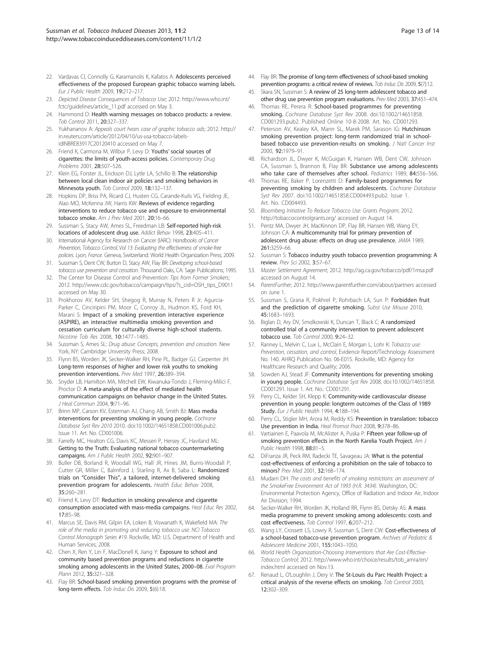- <span id="page-12-0"></span>22. Vardavas CI, Connolly G, Karamanolis K, Kafatos A: Adolescents perceived effectiveness of the proposed European graphic tobacco warning labels. Eur J Public Health 2009, 19:212–217.
- 23. Depicted Disease Consequences of Tobacco Use; 2012. [http://www.who.int/](http://www.who.int/fctc/guidelines/article_11.pdf) [fctc/guidelines/article\\_11.pdf](http://www.who.int/fctc/guidelines/article_11.pdf) accessed on May 3.
- 24. Hammond D: Health warning messages on tobacco products: a review. Tob Control 2011, 20:327–337.
- 25. Yukhananov A: Appeals court hears case of graphic tobacco ads; 2012. [http://](http://in.reuters.com/article/2012/04/10/us-usa-tobacco-labels-idINBRE83917C20120410) [in.reuters.com/article/2012/04/10/us-usa-tobacco-labels](http://in.reuters.com/article/2012/04/10/us-usa-tobacco-labels-idINBRE83917C20120410)[idINBRE83917C20120410](http://in.reuters.com/article/2012/04/10/us-usa-tobacco-labels-idINBRE83917C20120410) accessed on May 7.
- 26. Friend K, Carmona M, Wilbur P, Levy D: Youths' social sources of cigarettes: the limits of youth-access policies. Contemporary Drug Problems 2001, 28:507–526.
- 27. Klein EG, Forster JL, Erickson DJ, Lytle LA, Schillo B: The relationship between local clean indoor air policies and smoking behaviors in Minnesota youth. Tob Control 2009, 18:132–137.
- 28. Hopkins DP, Briss PA, Ricard CJ, Husten CG, Carande-Kulis VG, Fielding JE, Alao MO, McKenna JW, Harris KW: Reviews of evidence regarding interventions to reduce tobacco use and exposure to environmental tobacco smoke. Am J Prev Med 2001, 20:16-66.
- 29. Sussman S, Stacy AW, Ames SL, Freedman LB: Self-reported high-risk locations of adolescent drug use. Addict Behav 1998, 23:405–411.
- 30. International Agency for Research on Cancer (IARC): Handbooks of Cancer Prevention, Tobacco Control, Vol 13: Evaluating the effectiveness of smoke-free policies. Lyon, France. Geneva, Switzerland: World Health Organization Press; 2009.
- 31. Sussman S, Dent CW, Burton D, Stacy AW, Flay BR: Developing school-based tobacco use prevention and cessation. Thousand Oaks, CA: Sage Publications; 1995.
- 32. The Center for Disease Control and Prevention: Tips from Former Smokers; 2012. [http://www.cdc.gov/tobacco/campaign/tips/?s\\_cid=OSH\\_tips\\_D9011](http://www.cdc.gov/tobacco/campaign/tips/?s_cid=OSH_tips_D9011) accessed on May 30.
- 33. Prokhorov AV, Kelder SH, Shegog R, Murray N, Peters R Jr, Agurcia-Parker C, Cinciripini PM, Moor C, Conroy JL, Hudmon KS, Ford KH, Marani S: Impact of a smoking prevention interactive experience (ASPIRE), an interactive multimedia smoking prevention and cessation curriculum for culturally diverse high-school students. Nicotine Tob Res 2008, 10:1477–1485.
- 34. Sussman S, Ames SL: Drug abuse: Concepts, prevention and cessation. New York, NY: Cambridge University Press; 2008.
- 35. Flynn BS, Worden JK, Secker-Walker RH, Pirie PL, Badger GJ, Carpenter JH: Long-term responses of higher and lower risk youths to smoking prevention interventions. Prev Med 1997, 26:389–394.
- 36. Snyder LB, Hamilton MA, Mitchell EW, Kiwanuka-Tondo J, Fleming-Milici F, Proctor D: A meta-analysis of the effect of mediated health communication campaigns on behavior change in the United States. J Heal Commun 2004, 9:71–96.
- 37. Brinn MP, Carson KV, Esterman AJ, Chang AB, Smith BJ: Mass media interventions for preventing smoking in young people. Cochrane Database Syst Rev 2010 2010. doi:[10.1002/14651858.CD001006.pub2](http://dx.doi.org/10.1002/14651858.CD001006.pub2). Issue 11. Art. No. CD001006.
- 38. Farrelly MC, Healton CG, Davis KC, Messeri P, Hersey JC, Haviland ML: Getting to the Truth: Evaluating national tobacco countermarketing campaigns. Am J Public Health 2002, 92:901–907.
- 39. Buller DB, Borland R, Woodall WG, Hall JR, Hines JM, Burris-Woodall P, Cutter GR, Miller C, Balmford J, Starling R, Ax B, Saba L: Randomized trials on "Consider This", a tailored, internet-delivered smoking prevention program for adolescents. Health Educ Behav 2008, 35:260–281.
- 40. Friend K, Levy DT: Reduction in smoking prevalence and cigarette consumption associated with mass-media campaigns. Heal Educ Res 2002, 17:85–98.
- 41. Marcus SE, Davis RM, Gilpin EA, Loken B, Viswanath K, Wakefield MA: The role of the media in promoting and reducing tobacco use. NCI Tobacco Control Monograph Series #19. Rockville, MD: U.S. Department of Health and Human Services; 2008.
- 42. Chen X, Ren Y, Lin F, MacDonell K, Jiang Y: Exposure to school and community based prevention programs and reductions in cigarette smoking among adolescents in the United States, 2000–08. Eval Program Plann 2012, 35:321–328.
- 43. Flay BR: School-based smoking prevention programs with the promise of long-term effects. Tob Induc Dis 2009, 5(6):18.
- 44. Flay BR: The promise of long-term effectiveness of school-based smoking prevention programs: a critical review of reviews. Tob Induc Dis 2009, 5(7):12.
- 45. Skara SN, Sussman S: A review of 25 long-term adolescent tobacco and other drug use prevention program evaluations. Prev Med 2003, 37:451–474.
- 46. Thomas RE, Perera R: School-based programmes for preventing smoking. Cochrane Database Syst Rev 2008. doi[:10.1002/14651858.](http://dx.doi.org/10.1002/14651858.CD001293.pub2) [CD001293.pub2.](http://dx.doi.org/10.1002/14651858.CD001293.pub2) Published Online 10-8-2008. Art. No. CD001293.
- 47. Peterson AV, Kealey KA, Mann SL, Marek PM, Sarason IG: Hutchinson smoking prevention project: long-term randomized trial in schoolbased tobacco use prevention-results on smoking. J Natl Cancer Inst 2000, 92:1979–91.
- 48. Richardson JL, Dwyer K, McGuigan K, Hansen WB, Dent CW, Johnson CA, Sussman S, Brannon B, Flay BR: Substance use among adolescents who take care of themselves after school. Pediatrics 1989, 84:556-566.
- 49. Thomas RE, Baker P, Lorenzetti D: Family-based programmes for preventing smoking by children and adolescents. Cochrane Database Syst Rev 2007. doi:[10.1002/14651858.CD004493.pub2](http://dx.doi.org/10.1002/14651858.CD004493.pub2). Issue 1. Art. No. CD004493.
- 50. Bloomberg Initiative To Reduce Tobacco Use: Grants Program; 2012. <http://tobaccocontrolgrants.org/> accessed on August 14.
- 51. Pentz MA, Dwyer JH, MacKinnon DP, Flay BR, Hansen WB, Wang EY, Johnson CA: A multicommunity trial for primary prevention of adolescent drug abuse: effects on drug use prevalence. JAMA 1989, 261:3259–66.
- 52. Sussman S: Tobacco industry youth tobacco prevention programming: A review. Prev Sci 2002, 3:57–67.
- 53. Master Settlement Agreement; 2012.<http://ag.ca.gov/tobacco/pdf/1msa.pdf> accessed on August 14.
- ParentFurther; 2012.<http://www.parentfurther.com/about/partners> accessed on June 1.
- 55. Sussman S, Grana R, Pokhrel P, Rohrbach LA, Sun P: Forbidden fruit and the prediction of cigarette smoking. Subst Use Misuse 2010, 45:1683–1693.
- 56. Biglan D, Ary DV, Smolkowski K, Duncan T, Black C: A randomized controlled trial of a community intervention to prevent adolescent tobacco use. Tob Control 2000, 9:24–32.
- 57. Ranney L, Melvin C, Lux L, McClain E, Morgan L, Lohr K: Tobacco use: Prevention, cessation, and control, Evidence Report/Technology Assessment No. 140. AHRQ Publication No. 06-E015. Rockville, MD: Agency for Healthcare Research and Quality; 2006.
- 58. Sowden AJ, Stead JF: Community interventions for preventing smoking in young people. Cochrane Database Syst Rev 2008, doi:[10.1002/14651858.](http://dx.doi.org/10.1002/14651858.CD001291) [CD001291.](http://dx.doi.org/10.1002/14651858.CD001291) Issue 1. Art. No.: CD001291.
- 59. Perry CL, Kelder SH, Klepp K: Community-wide cardiovascular disease prevention in young people: longterm outcomes of the Class of 1989 Study. Eur J Public Health 1994, 4:188-194.
- Perry CL, Stigler MH, Arora M, Reddy KS: Prevention in translation: tobacco Use prevention in India. Heal Promot Pract 2008, 9:378–86.
- 61. Vartiainen E, Paavola M, McAlister A, Puska P: Fifteen year follow-up of smoking prevention effects in the North Karelia Youth Project. Am J Public Health 1998, 88:81–5.
- 62. DiFranza JR, Peck RM, Radecki TE, Savageau JA: What is the potential cost-effectiveness of enforcing a prohibition on the sale of tobacco to minors? Prev Med 2001, 32:168–174.
- 63. Mudarri DH: The costs and benefits of smoking restrictions: an assessment of the SmokeFree Environment Act of 1993 (H.R. 3434). Washington, DC: Environmental Protection Agency, Office of Radiation and Indoor Air, Indoor Air Division; 1994.
- 64. Secker-Walker RH, Worden JK, Holland RR, Flynn BS, Detsky AS: A mass media programme to prevent smoking among adolescents: costs and cost effectiveness. Tob Control 1997, 6:207–212.
- 65. Wang LY, Crossett LS, Lowry R, Sussman S, Dent CW: Cost-effectiveness of a school-based tobacco-use prevention program. Archives of Pediatric & Adolescent Medicine 2001, 155:1043–1050.
- 66. World Health Organization-Choosing Interventions that Are Cost-Effective-Tobacco Control; 2012. [http://www.who.int/choice/results/tob\\_amra/en/](http://www.who.int/choice/results/tob_amra/en/index.html) [index.html](http://www.who.int/choice/results/tob_amra/en/index.html) accessed on Nov.13.
- 67. Renaud L, O'Loughlin J, Dery V: The St-Louis du Parc Health Project: a critical analysis of the reverse effects on smoking. Tob Control 2003, 12:302–309.